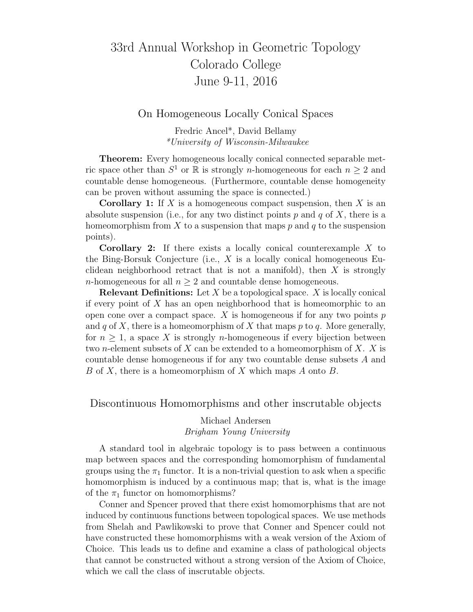# 33rd Annual Workshop in Geometric Topology Colorado College June 9-11, 2016

### On Homogeneous Locally Conical Spaces

Fredric Ancel\*, David Bellamy \*University of Wisconsin-Milwaukee

Theorem: Every homogeneous locally conical connected separable metric space other than  $S^1$  or  $\mathbb R$  is strongly *n*-homogeneous for each  $n \geq 2$  and countable dense homogeneous. (Furthermore, countable dense homogeneity can be proven without assuming the space is connected.)

**Corollary 1:** If X is a homogeneous compact suspension, then X is an absolute suspension (i.e., for any two distinct points  $p$  and  $q$  of  $X$ , there is a homeomorphism from X to a suspension that maps p and q to the suspension points).

Corollary 2: If there exists a locally conical counterexample X to the Bing-Borsuk Conjecture (i.e.,  $X$  is a locally conical homogeneous Euclidean neighborhood retract that is not a manifold), then  $X$  is strongly *n*-homogeneous for all  $n \geq 2$  and countable dense homogeneous.

**Relevant Definitions:** Let  $X$  be a topological space.  $X$  is locally conical if every point of  $X$  has an open neighborhood that is homeomorphic to an open cone over a compact space.  $X$  is homogeneous if for any two points  $p$ and q of X, there is a homeomorphism of X that maps p to q. More generally, for  $n \geq 1$ , a space X is strongly *n*-homogeneous if every bijection between two *n*-element subsets of X can be extended to a homeomorphism of X. X is countable dense homogeneous if for any two countable dense subsets A and B of X, there is a homeomorphism of X which maps A onto B.

Discontinuous Homomorphisms and other inscrutable objects

### Michael Andersen Brigham Young University

A standard tool in algebraic topology is to pass between a continuous map between spaces and the corresponding homomorphism of fundamental groups using the  $\pi_1$  functor. It is a non-trivial question to ask when a specific homomorphism is induced by a continuous map; that is, what is the image of the  $\pi_1$  functor on homomorphisms?

Conner and Spencer proved that there exist homomorphisms that are not induced by continuous functions between topological spaces. We use methods from Shelah and Pawlikowski to prove that Conner and Spencer could not have constructed these homomorphisms with a weak version of the Axiom of Choice. This leads us to define and examine a class of pathological objects that cannot be constructed without a strong version of the Axiom of Choice, which we call the class of inscrutable objects.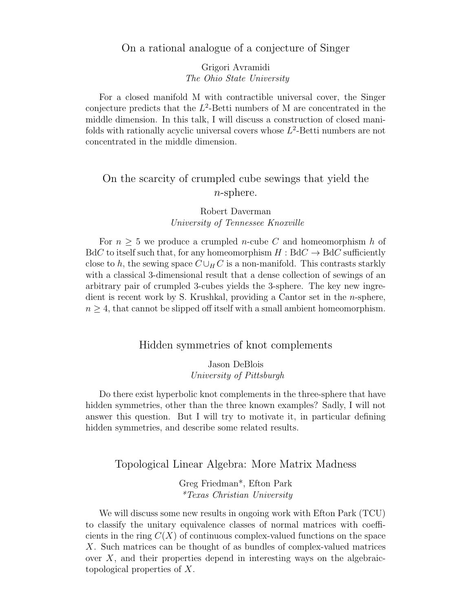### On a rational analogue of a conjecture of Singer

Grigori Avramidi The Ohio State University

For a closed manifold M with contractible universal cover, the Singer conjecture predicts that the  $L^2$ -Betti numbers of M are concentrated in the middle dimension. In this talk, I will discuss a construction of closed manifolds with rationally acyclic universal covers whose  $L^2$ -Betti numbers are not concentrated in the middle dimension.

## On the scarcity of crumpled cube sewings that yield the n-sphere.

## Robert Daverman University of Tennessee Knoxville

For  $n \geq 5$  we produce a crumpled *n*-cube C and homeomorphism h of  $BdC$  to itself such that, for any homeomorphism  $H : BdC \rightarrow BdC$  sufficiently close to h, the sewing space  $C \cup_{H} C$  is a non-manifold. This contrasts starkly with a classical 3-dimensional result that a dense collection of sewings of an arbitrary pair of crumpled 3-cubes yields the 3-sphere. The key new ingredient is recent work by S. Krushkal, providing a Cantor set in the n-sphere,  $n \geq 4$ , that cannot be slipped off itself with a small ambient homeomorphism.

## Hidden symmetries of knot complements

#### Jason DeBlois University of Pittsburgh

Do there exist hyperbolic knot complements in the three-sphere that have hidden symmetries, other than the three known examples? Sadly, I will not answer this question. But I will try to motivate it, in particular defining hidden symmetries, and describe some related results.

## Topological Linear Algebra: More Matrix Madness

### Greg Friedman\*, Efton Park \*Texas Christian University

We will discuss some new results in ongoing work with Efton Park (TCU) to classify the unitary equivalence classes of normal matrices with coefficients in the ring  $C(X)$  of continuous complex-valued functions on the space X. Such matrices can be thought of as bundles of complex-valued matrices over  $X$ , and their properties depend in interesting ways on the algebraictopological properties of X.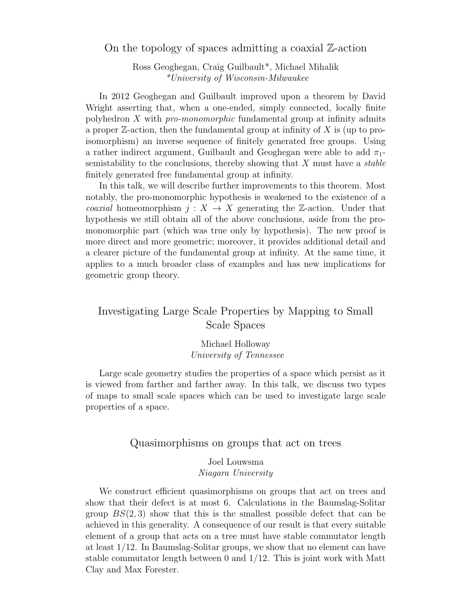On the topology of spaces admitting a coaxial Z-action

Ross Geoghegan, Craig Guilbault\*, Michael Mihalik \*University of Wisconsin-Milwaukee

In 2012 Geoghegan and Guilbault improved upon a theorem by David Wright asserting that, when a one-ended, simply connected, locally finite polyhedron X with pro-monomorphic fundamental group at infinity admits a proper  $\mathbb{Z}$ -action, then the fundamental group at infinity of X is (up to proisomorphism) an inverse sequence of finitely generated free groups. Using a rather indirect argument, Guilbault and Geoghegan were able to add  $\pi_1$ semistability to the conclusions, thereby showing that  $X$  must have a *stable* finitely generated free fundamental group at infinity.

In this talk, we will describe further improvements to this theorem. Most notably, the pro-monomorphic hypothesis is weakened to the existence of a *coaxial* homeomorphism  $j: X \to X$  generating the Z-action. Under that hypothesis we still obtain all of the above conclusions, aside from the promonomorphic part (which was true only by hypothesis). The new proof is more direct and more geometric; moreover, it provides additional detail and a clearer picture of the fundamental group at infinity. At the same time, it applies to a much broader class of examples and has new implications for geometric group theory.

## Investigating Large Scale Properties by Mapping to Small Scale Spaces

Michael Holloway University of Tennessee

Large scale geometry studies the properties of a space which persist as it is viewed from farther and farther away. In this talk, we discuss two types of maps to small scale spaces which can be used to investigate large scale properties of a space.

### Quasimorphisms on groups that act on trees

#### Joel Louwsma Niagara University

We construct efficient quasimorphisms on groups that act on trees and show that their defect is at most 6. Calculations in the Baumslag-Solitar group  $BS(2,3)$  show that this is the smallest possible defect that can be achieved in this generality. A consequence of our result is that every suitable element of a group that acts on a tree must have stable commutator length at least 1/12. In Baumslag-Solitar groups, we show that no element can have stable commutator length between 0 and 1/12. This is joint work with Matt Clay and Max Forester.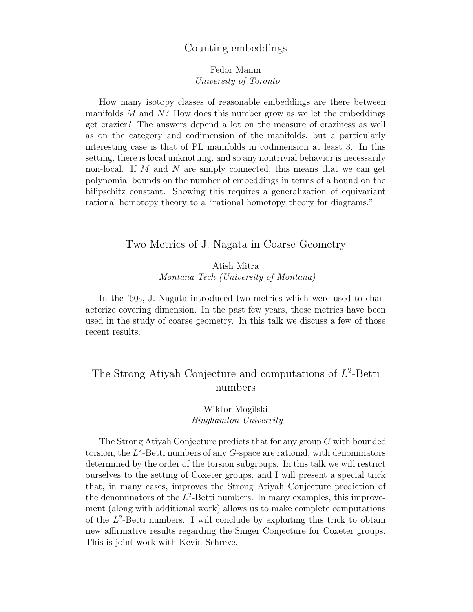## Counting embeddings

### Fedor Manin University of Toronto

How many isotopy classes of reasonable embeddings are there between manifolds  $M$  and  $N$ ? How does this number grow as we let the embeddings get crazier? The answers depend a lot on the measure of craziness as well as on the category and codimension of the manifolds, but a particularly interesting case is that of PL manifolds in codimension at least 3. In this setting, there is local unknotting, and so any nontrivial behavior is necessarily non-local. If  $M$  and  $N$  are simply connected, this means that we can get polynomial bounds on the number of embeddings in terms of a bound on the bilipschitz constant. Showing this requires a generalization of equivariant rational homotopy theory to a "rational homotopy theory for diagrams."

### Two Metrics of J. Nagata in Coarse Geometry

## Atish Mitra Montana Tech (University of Montana)

In the '60s, J. Nagata introduced two metrics which were used to characterize covering dimension. In the past few years, those metrics have been used in the study of coarse geometry. In this talk we discuss a few of those recent results.

## The Strong Atiyah Conjecture and computations of  $L^2$ -Betti numbers

### Wiktor Mogilski Binghamton University

The Strong Atiyah Conjecture predicts that for any group G with bounded torsion, the  $L^2$ -Betti numbers of any G-space are rational, with denominators determined by the order of the torsion subgroups. In this talk we will restrict ourselves to the setting of Coxeter groups, and I will present a special trick that, in many cases, improves the Strong Atiyah Conjecture prediction of the denominators of the  $L^2$ -Betti numbers. In many examples, this improvement (along with additional work) allows us to make complete computations of the  $L^2$ -Betti numbers. I will conclude by exploiting this trick to obtain new affirmative results regarding the Singer Conjecture for Coxeter groups. This is joint work with Kevin Schreve.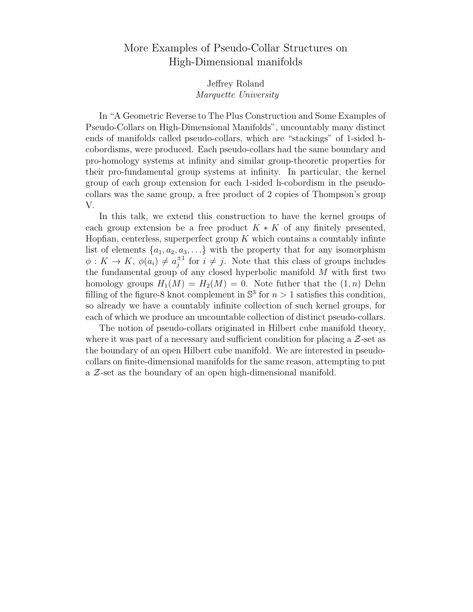## More Examples of Pseudo-Collar Structures on High-Dimensional manifolds

#### Jeffrey Roland Marquette University

In "A Geometric Reverse to The Plus Construction and Some Examples of Pseudo-Collars on High-Dimensional Manifolds", uncountably many distinct ends of manifolds called pseudo-collars, which are "stackings" of 1-sided hcobordisms, were produced. Each pseudo-collars had the same boundary and pro-homology systems at infinity and similar group-theoretic properties for their pro-fundamental group systems at infinity. In particular, the kernel group of each group extension for each 1-sided h-cobordism in the pseudocollars was the same group, a free product of 2 copies of Thompson's group V.

In this talk, we extend this construction to have the kernel groups of each group extension be a free product  $K * K$  of any finitely presented, Hopfian, centerless, superperfect group  $K$  which contains a countably infinite list of elements  $\{a_1, a_2, a_3, \ldots\}$  with the property that for any isomorphism  $\phi: K \to K$ ,  $\phi(a_i) \neq a_i^{\pm 1}$  $j^{\pm 1}$  for  $i \neq j$ . Note that this class of groups includes the fundamental group of any closed hyperbolic manifold  $\overline{M}$  with first two homology groups  $H_1(M) = H_2(M) = 0$ . Note futher that the  $(1, n)$  Dehn filling of the figure-8 knot complement in  $\mathbb{S}^3$  for  $n > 1$  satisfies this condition, so already we have a countably infinite collection of such kernel groups, for each of which we produce an uncountable collection of distinct pseudo-collars.

The notion of pseudo-collars originated in Hilbert cube manifold theory, where it was part of a necessary and sufficient condition for placing a  $Z$ -set as the boundary of an open Hilbert cube manifold. We are interested in pseudocollars on finite-dimensional manifolds for the same reason, attempting to put a Z-set as the boundary of an open high-dimensional manifold.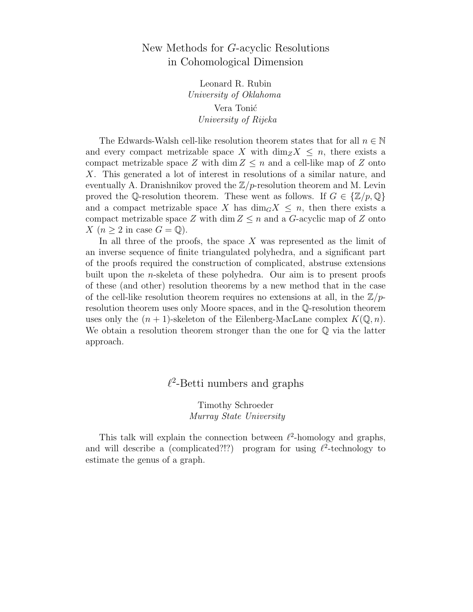## New Methods for G-acyclic Resolutions in Cohomological Dimension

Leonard R. Rubin University of Oklahoma Vera Tonić University of Rijeka

The Edwards-Walsh cell-like resolution theorem states that for all  $n \in \mathbb{N}$ and every compact metrizable space X with  $\dim_Z X \leq n$ , there exists a compact metrizable space Z with dim  $Z \leq n$  and a cell-like map of Z onto X. This generated a lot of interest in resolutions of a similar nature, and eventually A. Dranishnikov proved the  $\mathbb{Z}/p$ -resolution theorem and M. Levin proved the Q-resolution theorem. These went as follows. If  $G \in \{Z/p, Q\}$ and a compact metrizable space X has  $\dim_G X \leq n$ , then there exists a compact metrizable space Z with dim  $Z \leq n$  and a G-acyclic map of Z onto  $X(n > 2$  in case  $G = \mathbb{Q}$ ).

In all three of the proofs, the space  $X$  was represented as the limit of an inverse sequence of finite triangulated polyhedra, and a significant part of the proofs required the construction of complicated, abstruse extensions built upon the n-skeleta of these polyhedra. Our aim is to present proofs of these (and other) resolution theorems by a new method that in the case of the cell-like resolution theorem requires no extensions at all, in the  $\mathbb{Z}/p$ resolution theorem uses only Moore spaces, and in the Q-resolution theorem uses only the  $(n + 1)$ -skeleton of the Eilenberg-MacLane complex  $K(\mathbb{Q}, n)$ . We obtain a resolution theorem stronger than the one for  $\mathbb Q$  via the latter approach.

## $\ell^2$ -Betti numbers and graphs

Timothy Schroeder Murray State University

This talk will explain the connection between  $\ell^2$ -homology and graphs, and will describe a (complicated?!?) program for using  $\ell^2$ -technology to estimate the genus of a graph.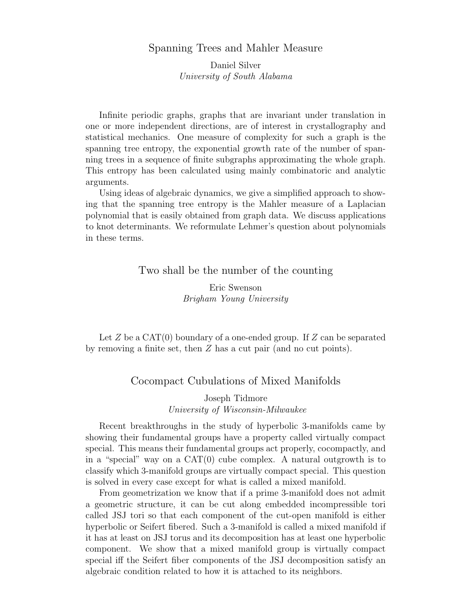### Spanning Trees and Mahler Measure

Daniel Silver University of South Alabama

Infinite periodic graphs, graphs that are invariant under translation in one or more independent directions, are of interest in crystallography and statistical mechanics. One measure of complexity for such a graph is the spanning tree entropy, the exponential growth rate of the number of spanning trees in a sequence of finite subgraphs approximating the whole graph. This entropy has been calculated using mainly combinatoric and analytic arguments.

Using ideas of algebraic dynamics, we give a simplified approach to showing that the spanning tree entropy is the Mahler measure of a Laplacian polynomial that is easily obtained from graph data. We discuss applications to knot determinants. We reformulate Lehmer's question about polynomials in these terms.

#### Two shall be the number of the counting

Eric Swenson Brigham Young University

Let  $Z$  be a CAT $(0)$  boundary of a one-ended group. If  $Z$  can be separated by removing a finite set, then Z has a cut pair (and no cut points).

### Cocompact Cubulations of Mixed Manifolds

Joseph Tidmore University of Wisconsin-Milwaukee

Recent breakthroughs in the study of hyperbolic 3-manifolds came by showing their fundamental groups have a property called virtually compact special. This means their fundamental groups act properly, cocompactly, and in a "special" way on a  $CAT(0)$  cube complex. A natural outgrowth is to classify which 3-manifold groups are virtually compact special. This question is solved in every case except for what is called a mixed manifold.

From geometrization we know that if a prime 3-manifold does not admit a geometric structure, it can be cut along embedded incompressible tori called JSJ tori so that each component of the cut-open manifold is either hyperbolic or Seifert fibered. Such a 3-manifold is called a mixed manifold if it has at least on JSJ torus and its decomposition has at least one hyperbolic component. We show that a mixed manifold group is virtually compact special iff the Seifert fiber components of the JSJ decomposition satisfy an algebraic condition related to how it is attached to its neighbors.